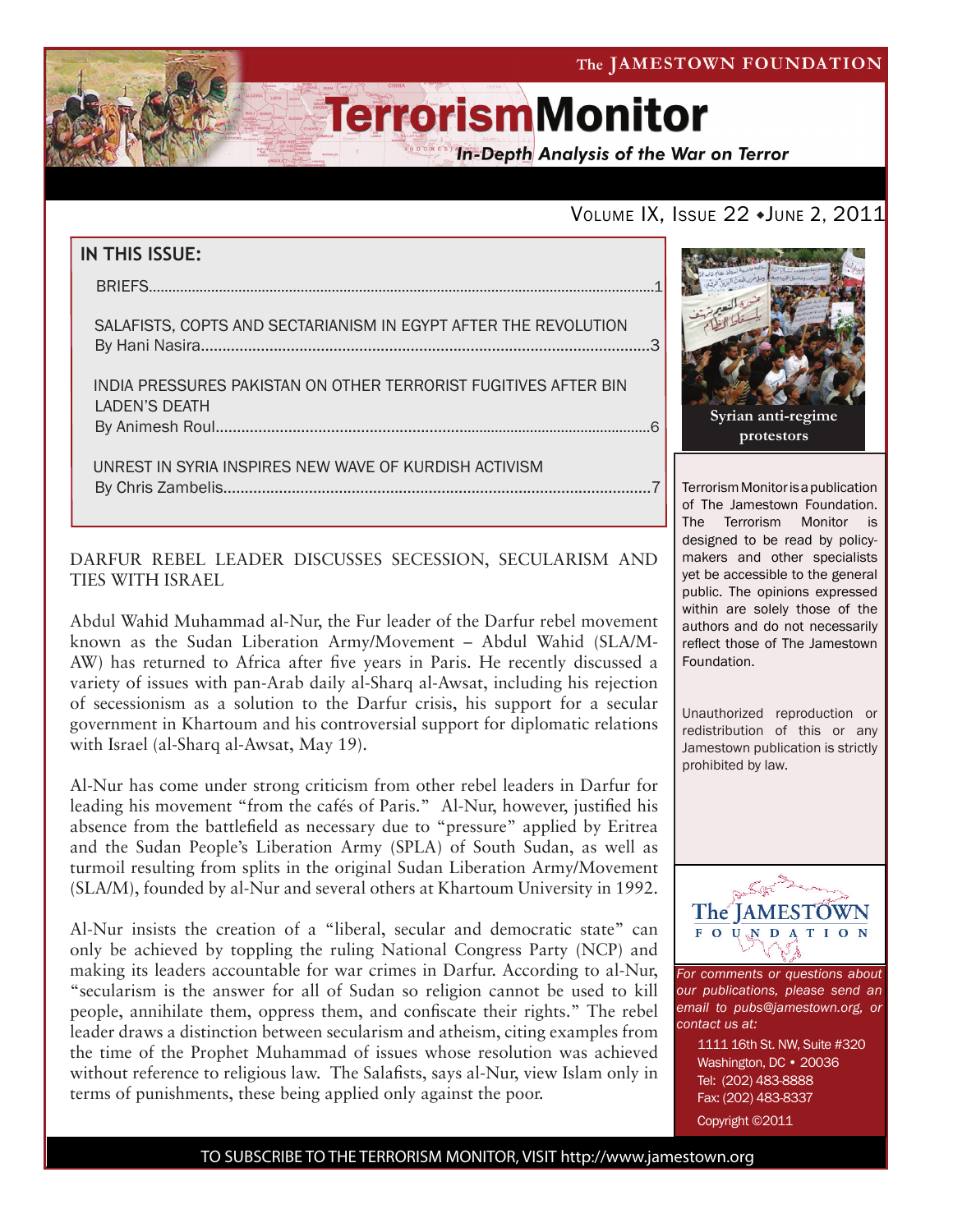The JAMESTOWN FOUNDATION

# **TerrorismMonitor**

**In-Depth Analysis of the War on Terror** 

### VOLUME IX, ISSUE 22 + JUNE 2, 2011

## **IN THIS ISSUE:** briefs..................................................................................................................................1 salafists, copts and sectarianism in egypt after the revolution By Hani Nasira.........................................................................................................3 india pressures pakistan on other terrorist fugitives after bin laden's death by Animesh Roul..........................................................................................................6 Unrest in syria inspires new wave of kurdish activism

### DARFUR REBEL LEADER DISCUSSES SECESSION, SECULARISM AND TIES WITH ISRAEL

By Chris Zambelis....................................................................................................7

Abdul Wahid Muhammad al-Nur, the Fur leader of the Darfur rebel movement known as the Sudan Liberation Army/Movement – Abdul Wahid (SLA/M-AW) has returned to Africa after five years in Paris. He recently discussed a variety of issues with pan-Arab daily al-Sharq al-Awsat, including his rejection of secessionism as a solution to the Darfur crisis, his support for a secular government in Khartoum and his controversial support for diplomatic relations with Israel (al-Sharq al-Awsat, May 19).

Al-Nur has come under strong criticism from other rebel leaders in Darfur for leading his movement "from the cafés of Paris." Al-Nur, however, justified his absence from the battlefield as necessary due to "pressure" applied by Eritrea and the Sudan People's Liberation Army (SPLA) of South Sudan, as well as turmoil resulting from splits in the original Sudan Liberation Army/Movement (SLA/M), founded by al-Nur and several others at Khartoum University in 1992.

Al-Nur insists the creation of a "liberal, secular and democratic state" can only be achieved by toppling the ruling National Congress Party (NCP) and making its leaders accountable for war crimes in Darfur. According to al-Nur, "secularism is the answer for all of Sudan so religion cannot be used to kill people, annihilate them, oppress them, and confiscate their rights." The rebel leader draws a distinction between secularism and atheism, citing examples from the time of the Prophet Muhammad of issues whose resolution was achieved without reference to religious law. The Salafists, says al-Nur, view Islam only in terms of punishments, these being applied only against the poor.



Terrorism Monitor is a publication of The Jamestown Foundation. The Terrorism Monitor is designed to be read by policymakers and other specialists yet be accessible to the general public. The opinions expressed within are solely those of the authors and do not necessarily reflect those of The Jamestown Foundation.

Unauthorized reproduction or redistribution of this or any Jamestown publication is strictly prohibited by law.



*For comments or questions about our publications, please send an email to pubs@jamestown.org, or contact us at:* 

> 1111 16th St. NW, Suite #320 Washington, DC • 20036 Tel: (202) 483-8888 Fax: (202) 483-8337

Copyright ©2011

#### TO SUBSCRIBE TO THE TERRORISM MONITOR, VISIT http://www.jamestown.org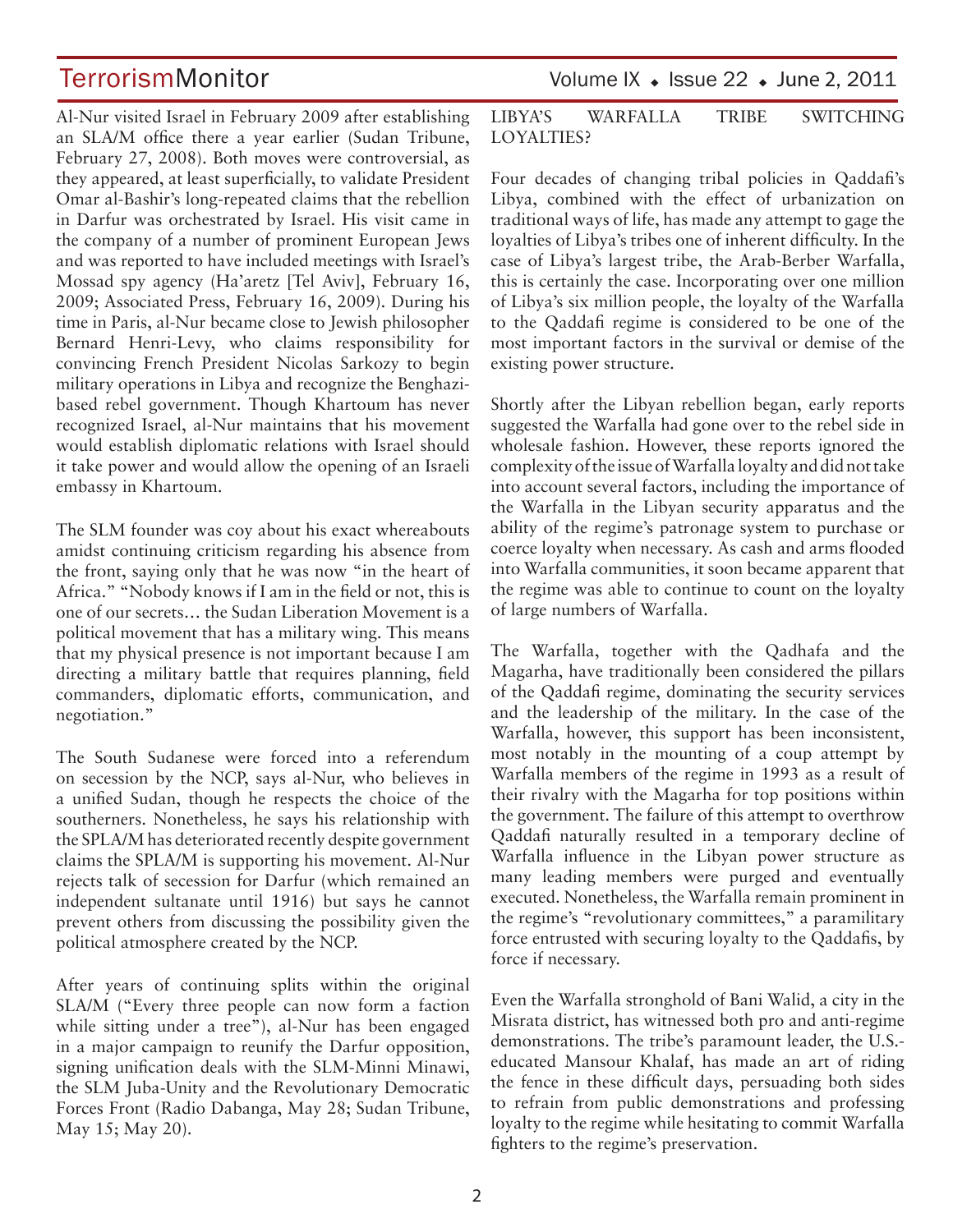Al-Nur visited Israel in February 2009 after establishing an SLA/M office there a year earlier (Sudan Tribune, February 27, 2008). Both moves were controversial, as they appeared, at least superficially, to validate President Omar al-Bashir's long-repeated claims that the rebellion in Darfur was orchestrated by Israel. His visit came in the company of a number of prominent European Jews and was reported to have included meetings with Israel's Mossad spy agency (Ha'aretz [Tel Aviv], February 16, 2009; Associated Press, February 16, 2009). During his time in Paris, al-Nur became close to Jewish philosopher Bernard Henri-Levy, who claims responsibility for convincing French President Nicolas Sarkozy to begin military operations in Libya and recognize the Benghazibased rebel government. Though Khartoum has never recognized Israel, al-Nur maintains that his movement would establish diplomatic relations with Israel should it take power and would allow the opening of an Israeli embassy in Khartoum.

The SLM founder was coy about his exact whereabouts amidst continuing criticism regarding his absence from the front, saying only that he was now "in the heart of Africa." "Nobody knows if I am in the field or not, this is one of our secrets… the Sudan Liberation Movement is a political movement that has a military wing. This means that my physical presence is not important because I am directing a military battle that requires planning, field commanders, diplomatic efforts, communication, and negotiation."

The South Sudanese were forced into a referendum on secession by the NCP, says al-Nur, who believes in a unified Sudan, though he respects the choice of the southerners. Nonetheless, he says his relationship with the SPLA/M has deteriorated recently despite government claims the SPLA/M is supporting his movement. Al-Nur rejects talk of secession for Darfur (which remained an independent sultanate until 1916) but says he cannot prevent others from discussing the possibility given the political atmosphere created by the NCP.

After years of continuing splits within the original SLA/M ("Every three people can now form a faction while sitting under a tree"), al-Nur has been engaged in a major campaign to reunify the Darfur opposition, signing unification deals with the SLM-Minni Minawi, the SLM Juba-Unity and the Revolutionary Democratic Forces Front (Radio Dabanga, May 28; Sudan Tribune, May 15; May 20).

TerrorismMonitor Volume IX + Issue 22 + June 2, 2011

### LIBYA'S WARFALLA TRIBE SWITCHING LOYALTIES?

Four decades of changing tribal policies in Qaddafi's Libya, combined with the effect of urbanization on traditional ways of life, has made any attempt to gage the loyalties of Libya's tribes one of inherent difficulty. In the case of Libya's largest tribe, the Arab-Berber Warfalla, this is certainly the case. Incorporating over one million of Libya's six million people, the loyalty of the Warfalla to the Qaddafi regime is considered to be one of the most important factors in the survival or demise of the existing power structure.

Shortly after the Libyan rebellion began, early reports suggested the Warfalla had gone over to the rebel side in wholesale fashion. However, these reports ignored the complexity of the issue of Warfalla loyalty and did not take into account several factors, including the importance of the Warfalla in the Libyan security apparatus and the ability of the regime's patronage system to purchase or coerce loyalty when necessary. As cash and arms flooded into Warfalla communities, it soon became apparent that the regime was able to continue to count on the loyalty of large numbers of Warfalla.

The Warfalla, together with the Qadhafa and the Magarha, have traditionally been considered the pillars of the Qaddafi regime, dominating the security services and the leadership of the military. In the case of the Warfalla, however, this support has been inconsistent, most notably in the mounting of a coup attempt by Warfalla members of the regime in 1993 as a result of their rivalry with the Magarha for top positions within the government. The failure of this attempt to overthrow Qaddafi naturally resulted in a temporary decline of Warfalla influence in the Libyan power structure as many leading members were purged and eventually executed. Nonetheless, the Warfalla remain prominent in the regime's "revolutionary committees," a paramilitary force entrusted with securing loyalty to the Qaddafis, by force if necessary.

Even the Warfalla stronghold of Bani Walid, a city in the Misrata district, has witnessed both pro and anti-regime demonstrations. The tribe's paramount leader, the U.S. educated Mansour Khalaf, has made an art of riding the fence in these difficult days, persuading both sides to refrain from public demonstrations and professing loyalty to the regime while hesitating to commit Warfalla fighters to the regime's preservation.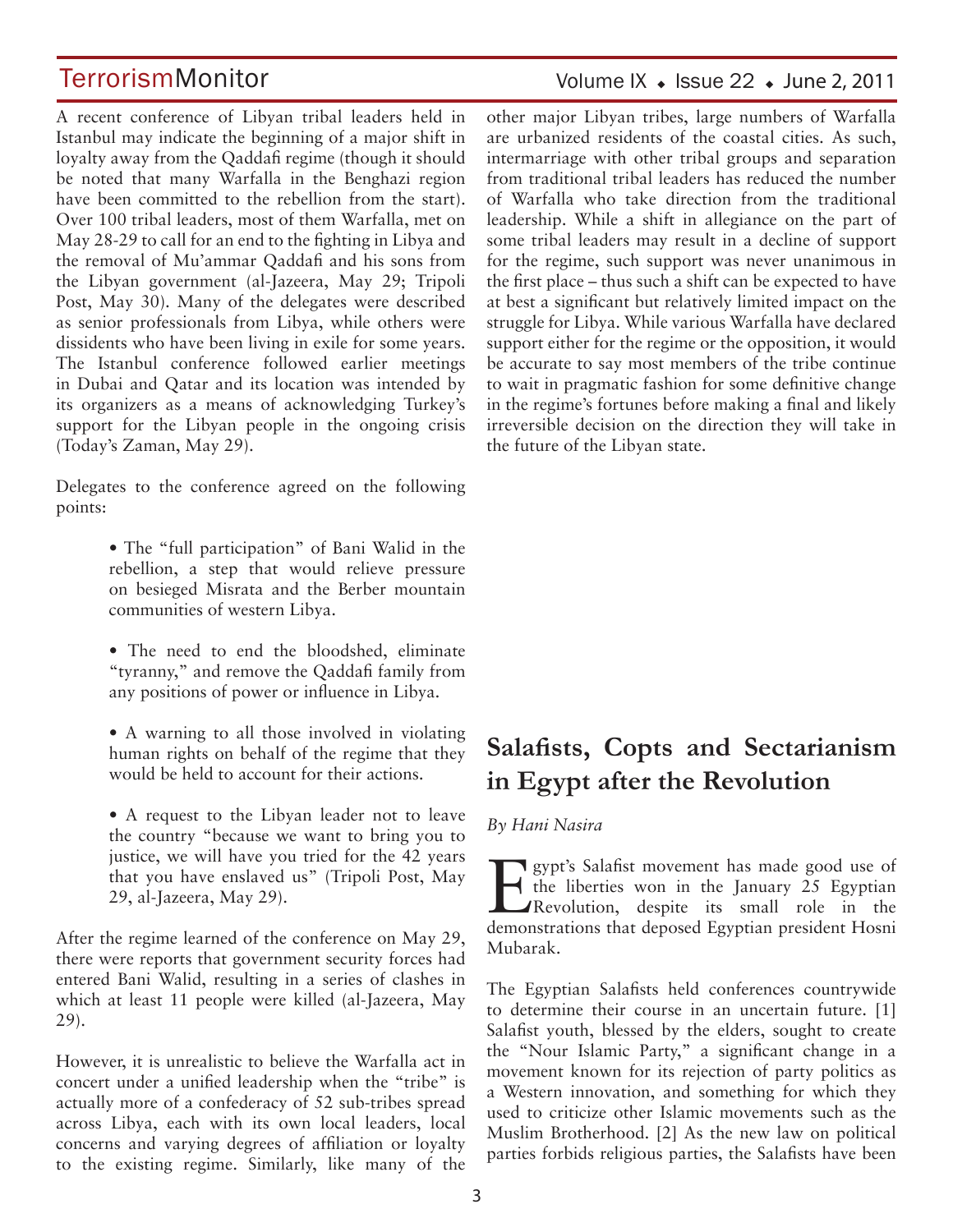A recent conference of Libyan tribal leaders held in Istanbul may indicate the beginning of a major shift in loyalty away from the Qaddafi regime (though it should be noted that many Warfalla in the Benghazi region have been committed to the rebellion from the start). Over 100 tribal leaders, most of them Warfalla, met on May 28-29 to call for an end to the fighting in Libya and the removal of Mu'ammar Qaddafi and his sons from the Libyan government (al-Jazeera, May 29; Tripoli Post, May 30). Many of the delegates were described as senior professionals from Libya, while others were dissidents who have been living in exile for some years. The Istanbul conference followed earlier meetings in Dubai and Qatar and its location was intended by its organizers as a means of acknowledging Turkey's support for the Libyan people in the ongoing crisis (Today's Zaman, May 29).

Delegates to the conference agreed on the following points:

- The "full participation" of Bani Walid in the rebellion, a step that would relieve pressure on besieged Misrata and the Berber mountain communities of western Libya.
- The need to end the bloodshed, eliminate "tyranny," and remove the Qaddafi family from any positions of power or influence in Libya.
- A warning to all those involved in violating human rights on behalf of the regime that they would be held to account for their actions.
- A request to the Libyan leader not to leave the country "because we want to bring you to justice, we will have you tried for the 42 years that you have enslaved us" (Tripoli Post, May 29, al-Jazeera, May 29).

After the regime learned of the conference on May 29, there were reports that government security forces had entered Bani Walid, resulting in a series of clashes in which at least 11 people were killed (al-Jazeera, May 29).

However, it is unrealistic to believe the Warfalla act in concert under a unified leadership when the "tribe" is actually more of a confederacy of 52 sub-tribes spread across Libya, each with its own local leaders, local concerns and varying degrees of affiliation or loyalty to the existing regime. Similarly, like many of the

### Volume IX  $\bullet$  Issue 22  $\bullet$  June 2, 2011

other major Libyan tribes, large numbers of Warfalla are urbanized residents of the coastal cities. As such, intermarriage with other tribal groups and separation from traditional tribal leaders has reduced the number of Warfalla who take direction from the traditional leadership. While a shift in allegiance on the part of some tribal leaders may result in a decline of support for the regime, such support was never unanimous in the first place – thus such a shift can be expected to have at best a significant but relatively limited impact on the struggle for Libya. While various Warfalla have declared support either for the regime or the opposition, it would be accurate to say most members of the tribe continue to wait in pragmatic fashion for some definitive change in the regime's fortunes before making a final and likely irreversible decision on the direction they will take in the future of the Libyan state.

## **Salafists, Copts and Sectarianism in Egypt after the Revolution**

#### *By Hani Nasira*

Egypt's Salafist movement has made good use of the liberties won in the January 25 Egyptian Revolution, despite its small role in the demonstrations that deposed Egyptian president Hosni Mubarak.

The Egyptian Salafists held conferences countrywide to determine their course in an uncertain future. [1] Salafist youth, blessed by the elders, sought to create the "Nour Islamic Party," a significant change in a movement known for its rejection of party politics as a Western innovation, and something for which they used to criticize other Islamic movements such as the Muslim Brotherhood. [2] As the new law on political parties forbids religious parties, the Salafists have been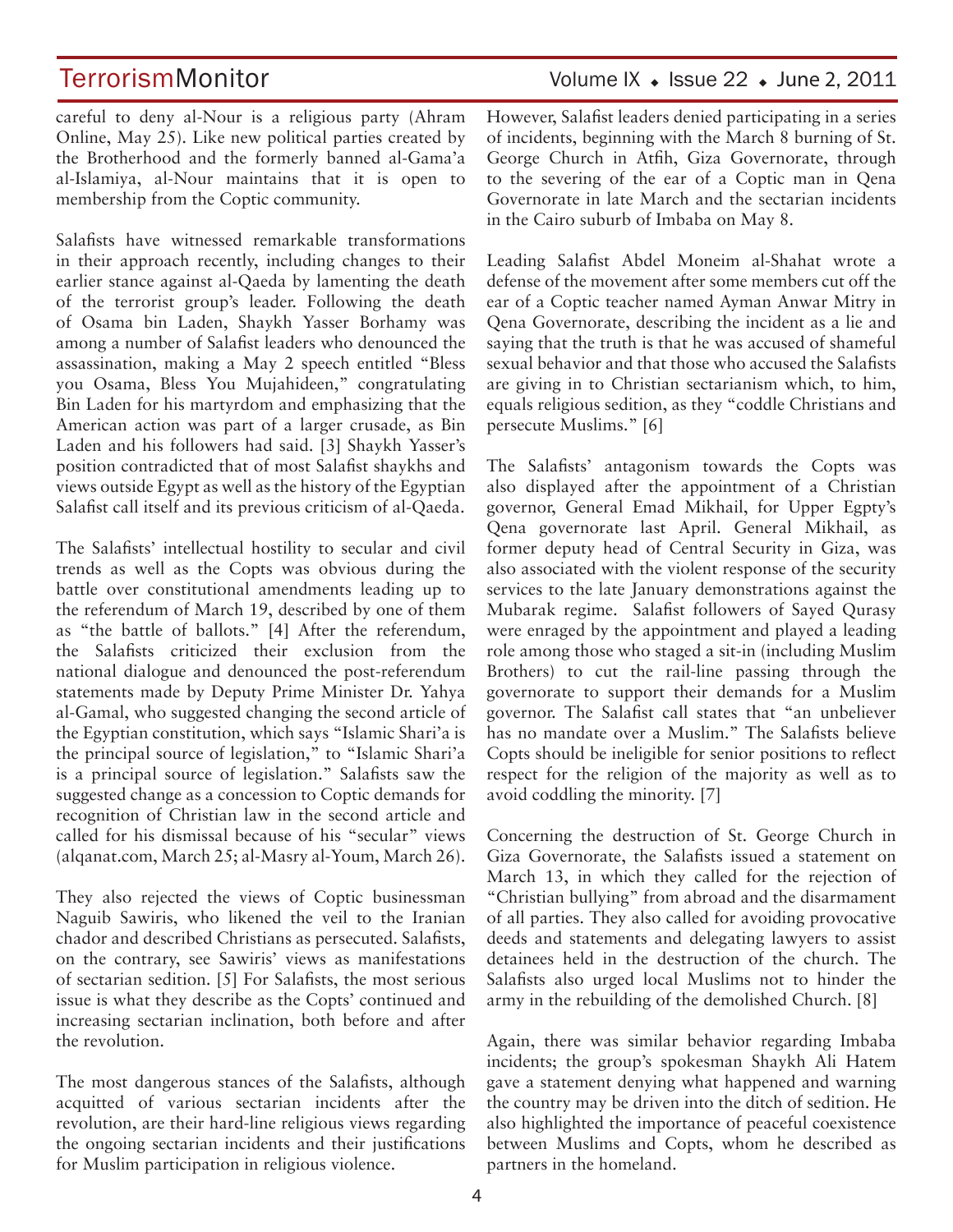TerrorismMonitor Volume IX + Issue 22 + June 2, 2011

careful to deny al-Nour is a religious party (Ahram Online, May 25). Like new political parties created by the Brotherhood and the formerly banned al-Gama'a al-Islamiya, al-Nour maintains that it is open to membership from the Coptic community.

Salafists have witnessed remarkable transformations in their approach recently, including changes to their earlier stance against al-Qaeda by lamenting the death of the terrorist group's leader. Following the death of Osama bin Laden, Shaykh Yasser Borhamy was among a number of Salafist leaders who denounced the assassination, making a May 2 speech entitled "Bless you Osama, Bless You Mujahideen," congratulating Bin Laden for his martyrdom and emphasizing that the American action was part of a larger crusade, as Bin Laden and his followers had said. [3] Shaykh Yasser's position contradicted that of most Salafist shaykhs and views outside Egypt as well as the history of the Egyptian Salafist call itself and its previous criticism of al-Qaeda.

The Salafists' intellectual hostility to secular and civil trends as well as the Copts was obvious during the battle over constitutional amendments leading up to the referendum of March 19, described by one of them as "the battle of ballots." [4] After the referendum, the Salafists criticized their exclusion from the national dialogue and denounced the post-referendum statements made by Deputy Prime Minister Dr. Yahya al-Gamal, who suggested changing the second article of the Egyptian constitution, which says "Islamic Shari'a is the principal source of legislation," to "Islamic Shari'a is a principal source of legislation." Salafists saw the suggested change as a concession to Coptic demands for recognition of Christian law in the second article and called for his dismissal because of his "secular" views (alqanat.com, March 25; al-Masry al-Youm, March 26).

They also rejected the views of Coptic businessman Naguib Sawiris, who likened the veil to the Iranian chador and described Christians as persecuted. Salafists, on the contrary, see Sawiris' views as manifestations of sectarian sedition. [5] For Salafists, the most serious issue is what they describe as the Copts' continued and increasing sectarian inclination, both before and after the revolution.

The most dangerous stances of the Salafists, although acquitted of various sectarian incidents after the revolution, are their hard-line religious views regarding the ongoing sectarian incidents and their justifications for Muslim participation in religious violence.

However, Salafist leaders denied participating in a series of incidents, beginning with the March 8 burning of St. George Church in Atfih, Giza Governorate, through to the severing of the ear of a Coptic man in Qena Governorate in late March and the sectarian incidents in the Cairo suburb of Imbaba on May 8.

Leading Salafist Abdel Moneim al-Shahat wrote a defense of the movement after some members cut off the ear of a Coptic teacher named Ayman Anwar Mitry in Qena Governorate, describing the incident as a lie and saying that the truth is that he was accused of shameful sexual behavior and that those who accused the Salafists are giving in to Christian sectarianism which, to him, equals religious sedition, as they "coddle Christians and persecute Muslims." [6]

The Salafists' antagonism towards the Copts was also displayed after the appointment of a Christian governor, General Emad Mikhail, for Upper Egpty's Qena governorate last April. General Mikhail, as former deputy head of Central Security in Giza, was also associated with the violent response of the security services to the late January demonstrations against the Mubarak regime. Salafist followers of Sayed Qurasy were enraged by the appointment and played a leading role among those who staged a sit-in (including Muslim Brothers) to cut the rail-line passing through the governorate to support their demands for a Muslim governor. The Salafist call states that "an unbeliever has no mandate over a Muslim." The Salafists believe Copts should be ineligible for senior positions to reflect respect for the religion of the majority as well as to avoid coddling the minority. [7]

Concerning the destruction of St. George Church in Giza Governorate, the Salafists issued a statement on March 13, in which they called for the rejection of "Christian bullying" from abroad and the disarmament of all parties. They also called for avoiding provocative deeds and statements and delegating lawyers to assist detainees held in the destruction of the church. The Salafists also urged local Muslims not to hinder the army in the rebuilding of the demolished Church. [8]

Again, there was similar behavior regarding Imbaba incidents; the group's spokesman Shaykh Ali Hatem gave a statement denying what happened and warning the country may be driven into the ditch of sedition. He also highlighted the importance of peaceful coexistence between Muslims and Copts, whom he described as partners in the homeland.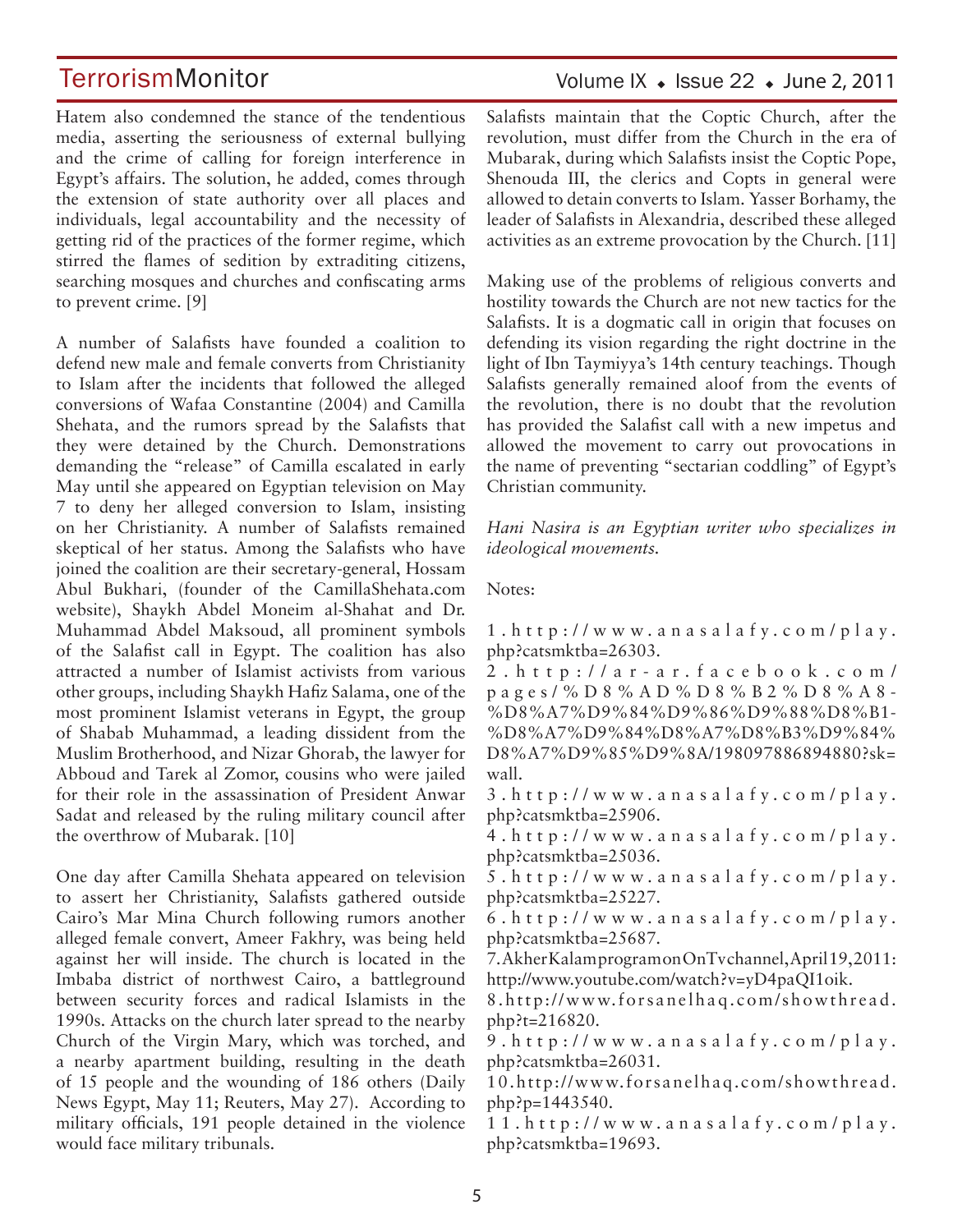Hatem also condemned the stance of the tendentious media, asserting the seriousness of external bullying and the crime of calling for foreign interference in Egypt's affairs. The solution, he added, comes through the extension of state authority over all places and individuals, legal accountability and the necessity of getting rid of the practices of the former regime, which stirred the flames of sedition by extraditing citizens, searching mosques and churches and confiscating arms to prevent crime. [9]

A number of Salafists have founded a coalition to defend new male and female converts from Christianity to Islam after the incidents that followed the alleged conversions of Wafaa Constantine (2004) and Camilla Shehata, and the rumors spread by the Salafists that they were detained by the Church. Demonstrations demanding the "release" of Camilla escalated in early May until she appeared on Egyptian television on May 7 to deny her alleged conversion to Islam, insisting on her Christianity. A number of Salafists remained skeptical of her status. Among the Salafists who have joined the coalition are their secretary-general, Hossam Abul Bukhari, (founder of the CamillaShehata.com website), Shaykh Abdel Moneim al-Shahat and Dr. Muhammad Abdel Maksoud, all prominent symbols of the Salafist call in Egypt. The coalition has also attracted a number of Islamist activists from various other groups, including Shaykh Hafiz Salama, one of the most prominent Islamist veterans in Egypt, the group of Shabab Muhammad, a leading dissident from the Muslim Brotherhood, and Nizar Ghorab, the lawyer for Abboud and Tarek al Zomor, cousins who were jailed for their role in the assassination of President Anwar Sadat and released by the ruling military council after the overthrow of Mubarak. [10]

One day after Camilla Shehata appeared on television to assert her Christianity, Salafists gathered outside Cairo's Mar Mina Church following rumors another alleged female convert, Ameer Fakhry, was being held against her will inside. The church is located in the Imbaba district of northwest Cairo, a battleground between security forces and radical Islamists in the 1990s. Attacks on the church later spread to the nearby Church of the Virgin Mary, which was torched, and a nearby apartment building, resulting in the death of 15 people and the wounding of 186 others (Daily News Egypt, May 11; Reuters, May 27). According to military officials, 191 people detained in the violence would face military tribunals.

## Volume IX  $\bullet$  Issue 22  $\bullet$  June 2, 2011 Salafists maintain that the Coptic Church, after the

revolution, must differ from the Church in the era of Mubarak, during which Salafists insist the Coptic Pope, Shenouda III, the clerics and Copts in general were allowed to detain converts to Islam. Yasser Borhamy, the leader of Salafists in Alexandria, described these alleged activities as an extreme provocation by the Church. [11]

Making use of the problems of religious converts and hostility towards the Church are not new tactics for the Salafists. It is a dogmatic call in origin that focuses on defending its vision regarding the right doctrine in the light of Ibn Taymiyya's 14th century teachings. Though Salafists generally remained aloof from the events of the revolution, there is no doubt that the revolution has provided the Salafist call with a new impetus and allowed the movement to carry out provocations in the name of preventing "sectarian coddling" of Egypt's Christian community.

*Hani Nasira is an Egyptian writer who specializes in ideological movements.*

Notes:

 $1. h t t p$ ://www.anasalafy.com/play. php?catsmktba=26303.

2 . h t t p : / / a r - a r . f a c e b o o k . c o m / p a g e s / % D 8 % A D % D 8 % B 2 % D 8 % A 8 - %D8%A7%D9%84%D9%86%D9%88%D8%B1- %D8%A7%D9%84%D8%A7%D8%B3%D9%84% D8%A7%D9%85%D9%8A/198097886894880?sk= wall.

 $3. h t t p$ ://www.anasalafy.com/play. php?catsmktba=25906.

 $4. h t t p$ ://www.anasalafy.com/play. php?catsmktba=25036.

5 . h t t p : / / w w w . a n a s a l a f y . c o m / p l a y . php?catsmktba=25227.

 $6. h t t p$ ://www.anasalafy.com/play. php?catsmktba=25687.

7. Akher Kalam program on OnTv channel, April 19, 2011: http://www.youtube.com/watch?v=yD4paQI1oik.

8.http://www.forsanelhaq.com/showthread. php?t=216820.

 $9. h t t p$ ://www.anasalafy.com/play. php?catsmktba=26031.

10.http://www.forsanelhaq.com/showthread. php?p=1443540.

 $11.$  h t t p :  $//$  w w w . a n a s a l a f y . c o m  $/$  p l a y . php?catsmktba=19693.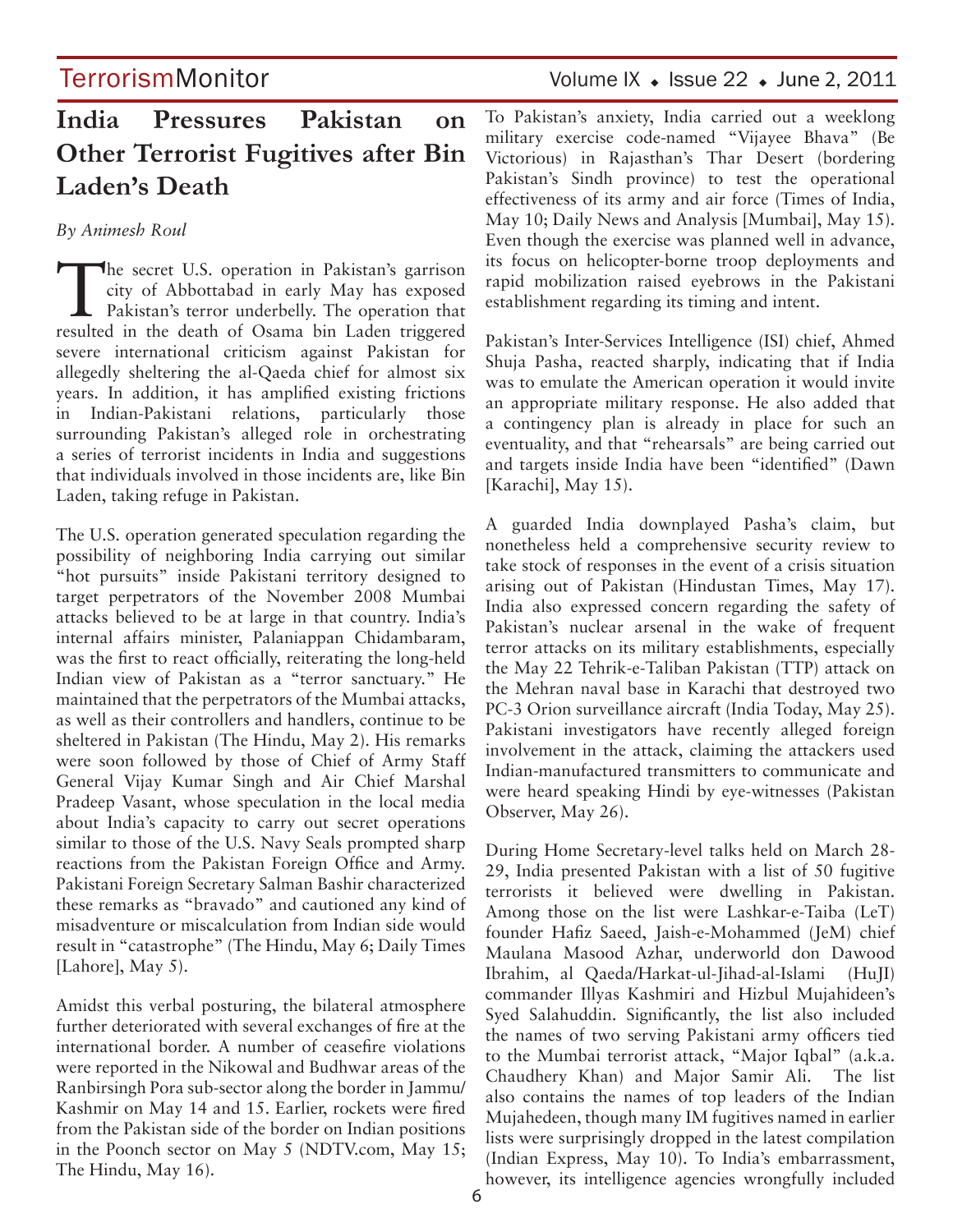## **India Pressures Pakistan on Other Terrorist Fugitives after Bin Laden's Death**

*By Animesh Roul* 

The secret U.S. operation in Pakistan's garrison<br>
city of Abbottabad in early May has exposed<br>
Pakistan's terror underbelly. The operation that city of Abbottabad in early May has exposed resulted in the death of Osama bin Laden triggered severe international criticism against Pakistan for allegedly sheltering the al-Qaeda chief for almost six years. In addition, it has amplified existing frictions in Indian-Pakistani relations, particularly those surrounding Pakistan's alleged role in orchestrating a series of terrorist incidents in India and suggestions that individuals involved in those incidents are, like Bin Laden, taking refuge in Pakistan.

The U.S. operation generated speculation regarding the possibility of neighboring India carrying out similar "hot pursuits" inside Pakistani territory designed to target perpetrators of the November 2008 Mumbai attacks believed to be at large in that country. India's internal affairs minister, Palaniappan Chidambaram, was the first to react officially, reiterating the long-held Indian view of Pakistan as a "terror sanctuary." He maintained that the perpetrators of the Mumbai attacks, as well as their controllers and handlers, continue to be sheltered in Pakistan (The Hindu, May 2). His remarks were soon followed by those of Chief of Army Staff General Vijay Kumar Singh and Air Chief Marshal Pradeep Vasant, whose speculation in the local media about India's capacity to carry out secret operations similar to those of the U.S. Navy Seals prompted sharp reactions from the Pakistan Foreign Office and Army. Pakistani Foreign Secretary Salman Bashir characterized these remarks as "bravado" and cautioned any kind of misadventure or miscalculation from Indian side would result in "catastrophe" (The Hindu, May 6; Daily Times [Lahore], May 5).

Amidst this verbal posturing, the bilateral atmosphere further deteriorated with several exchanges of fire at the international border. A number of ceasefire violations were reported in the Nikowal and Budhwar areas of the Ranbirsingh Pora sub-sector along the border in Jammu/ Kashmir on May 14 and 15. Earlier, rockets were fired from the Pakistan side of the border on Indian positions in the Poonch sector on May 5 (NDTV.com, May 15; The Hindu, May 16).

To Pakistan's anxiety, India carried out a weeklong military exercise code-named "Vijayee Bhava" (Be Victorious) in Rajasthan's Thar Desert (bordering Pakistan's Sindh province) to test the operational effectiveness of its army and air force (Times of India, May 10; Daily News and Analysis [Mumbai], May 15). Even though the exercise was planned well in advance, its focus on helicopter-borne troop deployments and rapid mobilization raised eyebrows in the Pakistani establishment regarding its timing and intent.

Pakistan's Inter-Services Intelligence (ISI) chief, Ahmed Shuja Pasha, reacted sharply, indicating that if India was to emulate the American operation it would invite an appropriate military response. He also added that a contingency plan is already in place for such an eventuality, and that "rehearsals" are being carried out and targets inside India have been "identified" (Dawn [Karachi], May 15).

A guarded India downplayed Pasha's claim, but nonetheless held a comprehensive security review to take stock of responses in the event of a crisis situation arising out of Pakistan (Hindustan Times, May 17). India also expressed concern regarding the safety of Pakistan's nuclear arsenal in the wake of frequent terror attacks on its military establishments, especially the May 22 Tehrik-e-Taliban Pakistan (TTP) attack on the Mehran naval base in Karachi that destroyed two PC-3 Orion surveillance aircraft (India Today, May 25). Pakistani investigators have recently alleged foreign involvement in the attack, claiming the attackers used Indian-manufactured transmitters to communicate and were heard speaking Hindi by eye-witnesses (Pakistan Observer, May 26).

During Home Secretary-level talks held on March 28- 29, India presented Pakistan with a list of 50 fugitive terrorists it believed were dwelling in Pakistan. Among those on the list were Lashkar-e-Taiba (LeT) founder Hafiz Saeed, Jaish-e-Mohammed (JeM) chief Maulana Masood Azhar, underworld don Dawood Ibrahim, al Qaeda/Harkat-ul-Jihad-al-Islami (HuJI) commander Illyas Kashmiri and Hizbul Mujahideen's Syed Salahuddin. Significantly, the list also included the names of two serving Pakistani army officers tied to the Mumbai terrorist attack, "Major Iqbal" (a.k.a. Chaudhery Khan) and Major Samir Ali. The list also contains the names of top leaders of the Indian Mujahedeen, though many IM fugitives named in earlier lists were surprisingly dropped in the latest compilation (Indian Express, May 10). To India's embarrassment, however, its intelligence agencies wrongfully included

## TerrorismMonitor Volume IX + Issue 22 + June 2, 2011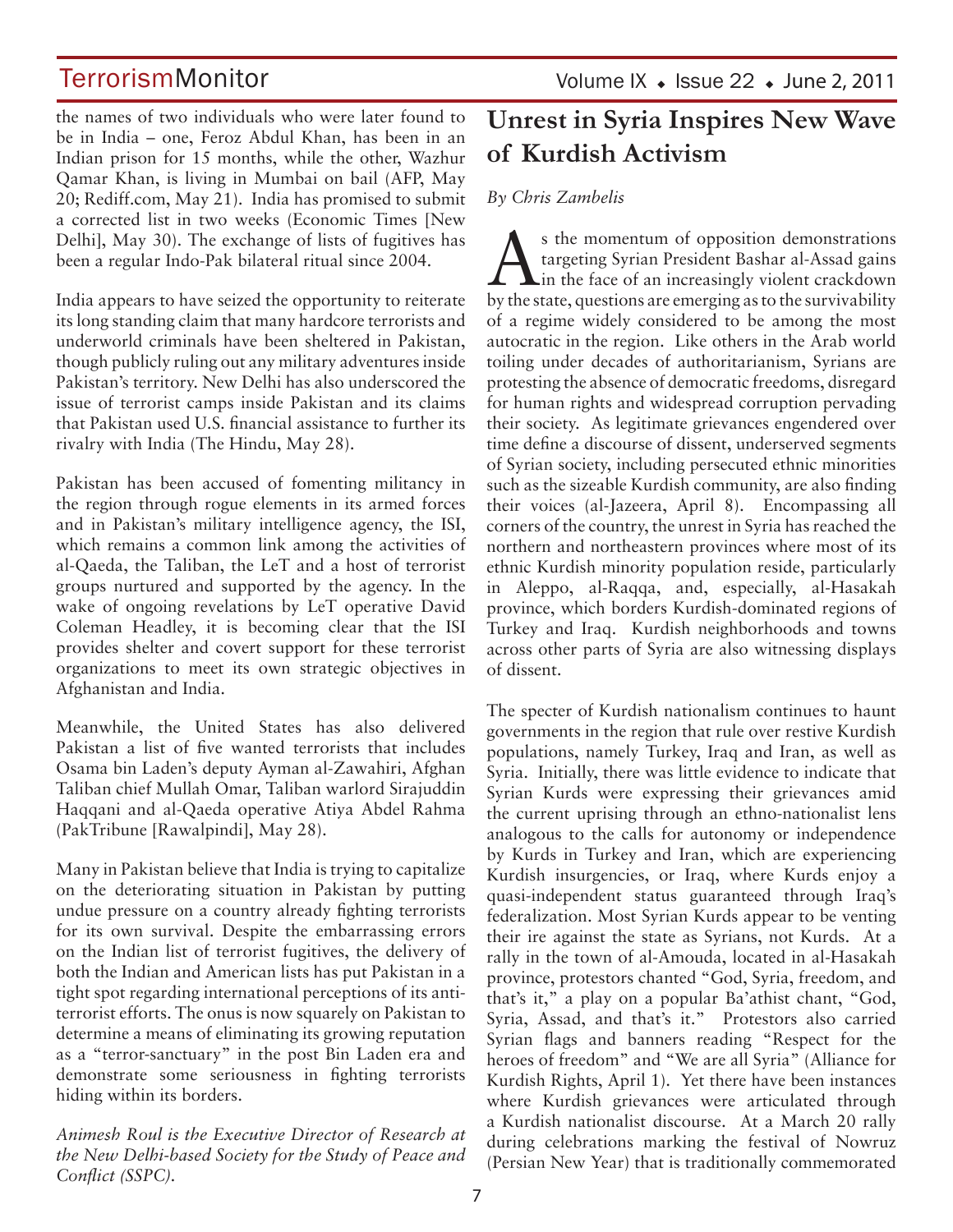the names of two individuals who were later found to be in India – one, Feroz Abdul Khan, has been in an Indian prison for 15 months, while the other, Wazhur Qamar Khan, is living in Mumbai on bail (AFP, May 20; Rediff.com, May 21). India has promised to submit a corrected list in two weeks (Economic Times [New Delhi], May 30). The exchange of lists of fugitives has been a regular Indo-Pak bilateral ritual since 2004.

India appears to have seized the opportunity to reiterate its long standing claim that many hardcore terrorists and underworld criminals have been sheltered in Pakistan, though publicly ruling out any military adventures inside Pakistan's territory. New Delhi has also underscored the issue of terrorist camps inside Pakistan and its claims that Pakistan used U.S. financial assistance to further its rivalry with India (The Hindu, May 28).

Pakistan has been accused of fomenting militancy in the region through rogue elements in its armed forces and in Pakistan's military intelligence agency, the ISI, which remains a common link among the activities of al-Qaeda, the Taliban, the LeT and a host of terrorist groups nurtured and supported by the agency. In the wake of ongoing revelations by LeT operative David Coleman Headley, it is becoming clear that the ISI provides shelter and covert support for these terrorist organizations to meet its own strategic objectives in Afghanistan and India.

Meanwhile, the United States has also delivered Pakistan a list of five wanted terrorists that includes Osama bin Laden's deputy Ayman al-Zawahiri, Afghan Taliban chief Mullah Omar, Taliban warlord Sirajuddin Haqqani and al-Qaeda operative Atiya Abdel Rahma (PakTribune [Rawalpindi], May 28).

Many in Pakistan believe that India is trying to capitalize on the deteriorating situation in Pakistan by putting undue pressure on a country already fighting terrorists for its own survival. Despite the embarrassing errors on the Indian list of terrorist fugitives, the delivery of both the Indian and American lists has put Pakistan in a tight spot regarding international perceptions of its antiterrorist efforts. The onus is now squarely on Pakistan to determine a means of eliminating its growing reputation as a "terror-sanctuary" in the post Bin Laden era and demonstrate some seriousness in fighting terrorists hiding within its borders.

*Animesh Roul is the Executive Director of Research at the New Delhi-based Society for the Study of Peace and Conflict (SSPC).*

## **Unrest in Syria Inspires New Wave of Kurdish Activism**

### *By Chris Zambelis*

s the momentum of opposition demonstrations<br>targeting Syrian President Bashar al-Assad gains<br>in the face of an increasingly violent crackdown targeting Syrian President Bashar al-Assad gains in the face of an increasingly violent crackdown by the state, questions are emerging as to the survivability of a regime widely considered to be among the most autocratic in the region. Like others in the Arab world toiling under decades of authoritarianism, Syrians are protesting the absence of democratic freedoms, disregard for human rights and widespread corruption pervading their society. As legitimate grievances engendered over time define a discourse of dissent, underserved segments of Syrian society, including persecuted ethnic minorities such as the sizeable Kurdish community, are also finding their voices (al-Jazeera, April 8). Encompassing all corners of the country, the unrest in Syria has reached the northern and northeastern provinces where most of its ethnic Kurdish minority population reside, particularly in Aleppo, al-Raqqa, and, especially, al-Hasakah province, which borders Kurdish-dominated regions of Turkey and Iraq. Kurdish neighborhoods and towns across other parts of Syria are also witnessing displays of dissent.

The specter of Kurdish nationalism continues to haunt governments in the region that rule over restive Kurdish populations, namely Turkey, Iraq and Iran, as well as Syria. Initially, there was little evidence to indicate that Syrian Kurds were expressing their grievances amid the current uprising through an ethno-nationalist lens analogous to the calls for autonomy or independence by Kurds in Turkey and Iran, which are experiencing Kurdish insurgencies, or Iraq, where Kurds enjoy a quasi-independent status guaranteed through Iraq's federalization. Most Syrian Kurds appear to be venting their ire against the state as Syrians, not Kurds. At a rally in the town of al-Amouda, located in al-Hasakah province, protestors chanted "God, Syria, freedom, and that's it," a play on a popular Ba'athist chant, "God, Syria, Assad, and that's it." Protestors also carried Syrian flags and banners reading "Respect for the heroes of freedom" and "We are all Syria" (Alliance for Kurdish Rights, April 1). Yet there have been instances where Kurdish grievances were articulated through a Kurdish nationalist discourse. At a March 20 rally during celebrations marking the festival of Nowruz (Persian New Year) that is traditionally commemorated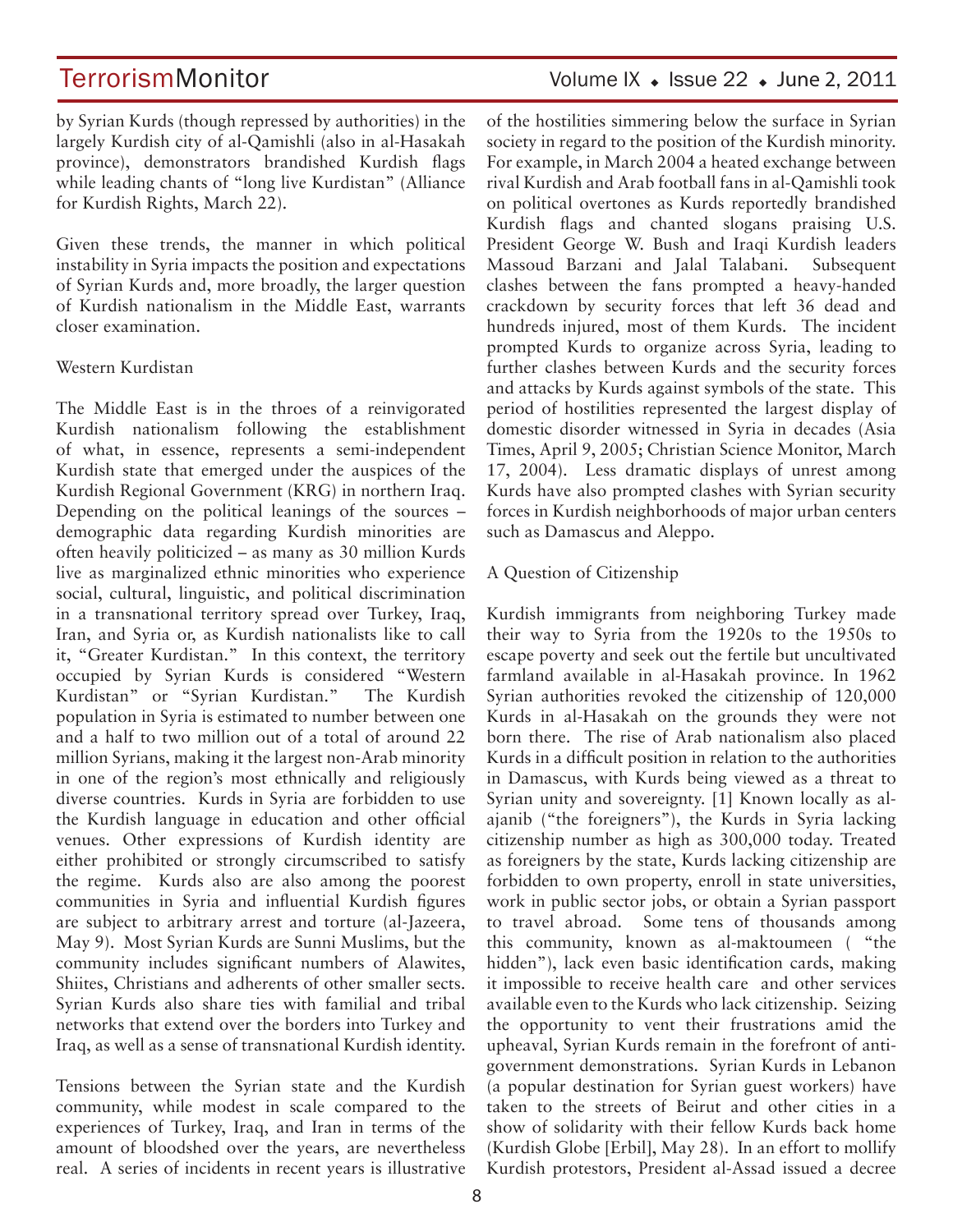## TerrorismMonitor Volume IX + Issue 22 + June 2, 2011

by Syrian Kurds (though repressed by authorities) in the largely Kurdish city of al-Qamishli (also in al-Hasakah province), demonstrators brandished Kurdish flags while leading chants of "long live Kurdistan" (Alliance for Kurdish Rights, March 22).

Given these trends, the manner in which political instability in Syria impacts the position and expectations of Syrian Kurds and, more broadly, the larger question of Kurdish nationalism in the Middle East, warrants closer examination.

#### Western Kurdistan

The Middle East is in the throes of a reinvigorated Kurdish nationalism following the establishment of what, in essence, represents a semi-independent Kurdish state that emerged under the auspices of the Kurdish Regional Government (KRG) in northern Iraq. Depending on the political leanings of the sources – demographic data regarding Kurdish minorities are often heavily politicized – as many as 30 million Kurds live as marginalized ethnic minorities who experience social, cultural, linguistic, and political discrimination in a transnational territory spread over Turkey, Iraq, Iran, and Syria or, as Kurdish nationalists like to call it, "Greater Kurdistan." In this context, the territory occupied by Syrian Kurds is considered "Western Kurdistan" or "Syrian Kurdistan." The Kurdish population in Syria is estimated to number between one and a half to two million out of a total of around 22 million Syrians, making it the largest non-Arab minority in one of the region's most ethnically and religiously diverse countries. Kurds in Syria are forbidden to use the Kurdish language in education and other official venues. Other expressions of Kurdish identity are either prohibited or strongly circumscribed to satisfy the regime. Kurds also are also among the poorest communities in Syria and influential Kurdish figures are subject to arbitrary arrest and torture (al-Jazeera, May 9). Most Syrian Kurds are Sunni Muslims, but the community includes significant numbers of Alawites, Shiites, Christians and adherents of other smaller sects. Syrian Kurds also share ties with familial and tribal networks that extend over the borders into Turkey and Iraq, as well as a sense of transnational Kurdish identity.

Tensions between the Syrian state and the Kurdish community, while modest in scale compared to the experiences of Turkey, Iraq, and Iran in terms of the amount of bloodshed over the years, are nevertheless real. A series of incidents in recent years is illustrative of the hostilities simmering below the surface in Syrian society in regard to the position of the Kurdish minority. For example, in March 2004 a heated exchange between rival Kurdish and Arab football fans in al-Qamishli took on political overtones as Kurds reportedly brandished Kurdish flags and chanted slogans praising U.S. President George W. Bush and Iraqi Kurdish leaders Massoud Barzani and Jalal Talabani. Subsequent clashes between the fans prompted a heavy-handed crackdown by security forces that left 36 dead and hundreds injured, most of them Kurds. The incident prompted Kurds to organize across Syria, leading to further clashes between Kurds and the security forces and attacks by Kurds against symbols of the state. This period of hostilities represented the largest display of domestic disorder witnessed in Syria in decades (Asia Times, April 9, 2005; Christian Science Monitor, March 17, 2004). Less dramatic displays of unrest among Kurds have also prompted clashes with Syrian security forces in Kurdish neighborhoods of major urban centers such as Damascus and Aleppo.

#### A Question of Citizenship

Kurdish immigrants from neighboring Turkey made their way to Syria from the 1920s to the 1950s to escape poverty and seek out the fertile but uncultivated farmland available in al-Hasakah province. In 1962 Syrian authorities revoked the citizenship of 120,000 Kurds in al-Hasakah on the grounds they were not born there. The rise of Arab nationalism also placed Kurds in a difficult position in relation to the authorities in Damascus, with Kurds being viewed as a threat to Syrian unity and sovereignty. [1] Known locally as alajanib ("the foreigners"), the Kurds in Syria lacking citizenship number as high as 300,000 today. Treated as foreigners by the state, Kurds lacking citizenship are forbidden to own property, enroll in state universities, work in public sector jobs, or obtain a Syrian passport to travel abroad. Some tens of thousands among this community, known as al-maktoumeen ( "the hidden"), lack even basic identification cards, making it impossible to receive health care and other services available even to the Kurds who lack citizenship. Seizing the opportunity to vent their frustrations amid the upheaval, Syrian Kurds remain in the forefront of antigovernment demonstrations. Syrian Kurds in Lebanon (a popular destination for Syrian guest workers) have taken to the streets of Beirut and other cities in a show of solidarity with their fellow Kurds back home (Kurdish Globe [Erbil], May 28). In an effort to mollify Kurdish protestors, President al-Assad issued a decree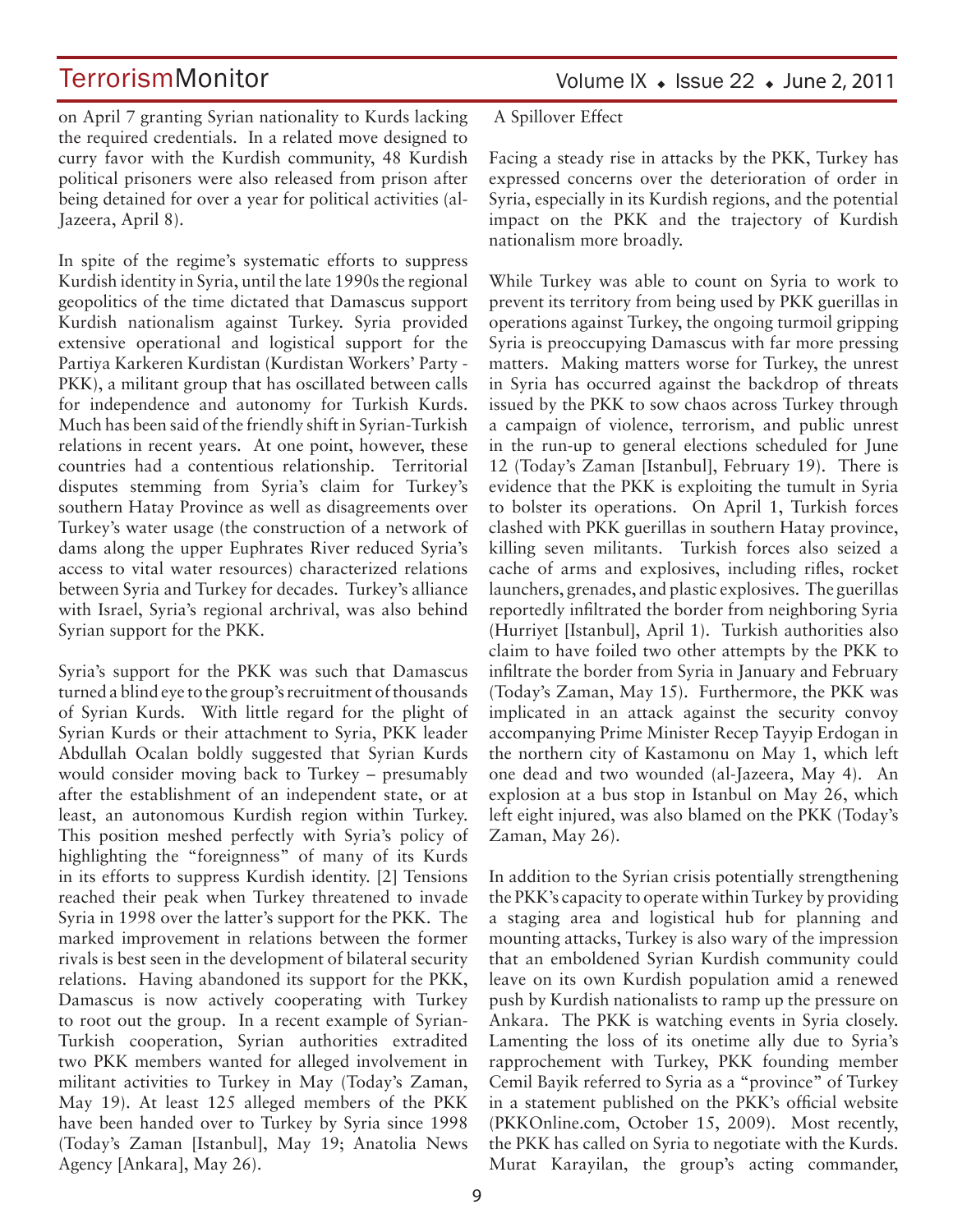Volume IX  $\bullet$  Issue 22  $\bullet$  June 2, 2011

on April 7 granting Syrian nationality to Kurds lacking the required credentials. In a related move designed to curry favor with the Kurdish community, 48 Kurdish political prisoners were also released from prison after being detained for over a year for political activities (al-Jazeera, April 8).

In spite of the regime's systematic efforts to suppress Kurdish identity in Syria, until the late 1990s the regional geopolitics of the time dictated that Damascus support Kurdish nationalism against Turkey. Syria provided extensive operational and logistical support for the Partiya Karkeren Kurdistan (Kurdistan Workers' Party - PKK), a militant group that has oscillated between calls for independence and autonomy for Turkish Kurds. Much has been said of the friendly shift in Syrian-Turkish relations in recent years. At one point, however, these countries had a contentious relationship. Territorial disputes stemming from Syria's claim for Turkey's southern Hatay Province as well as disagreements over Turkey's water usage (the construction of a network of dams along the upper Euphrates River reduced Syria's access to vital water resources) characterized relations between Syria and Turkey for decades. Turkey's alliance with Israel, Syria's regional archrival, was also behind Syrian support for the PKK.

Syria's support for the PKK was such that Damascus turned a blind eye to the group's recruitment of thousands of Syrian Kurds. With little regard for the plight of Syrian Kurds or their attachment to Syria, PKK leader Abdullah Ocalan boldly suggested that Syrian Kurds would consider moving back to Turkey – presumably after the establishment of an independent state, or at least, an autonomous Kurdish region within Turkey. This position meshed perfectly with Syria's policy of highlighting the "foreignness" of many of its Kurds in its efforts to suppress Kurdish identity. [2] Tensions reached their peak when Turkey threatened to invade Syria in 1998 over the latter's support for the PKK. The marked improvement in relations between the former rivals is best seen in the development of bilateral security relations. Having abandoned its support for the PKK, Damascus is now actively cooperating with Turkey to root out the group. In a recent example of Syrian-Turkish cooperation, Syrian authorities extradited two PKK members wanted for alleged involvement in militant activities to Turkey in May (Today's Zaman, May 19). At least 125 alleged members of the PKK have been handed over to Turkey by Syria since 1998 (Today's Zaman [Istanbul], May 19; Anatolia News Agency [Ankara], May 26).

A Spillover Effect

Facing a steady rise in attacks by the PKK, Turkey has expressed concerns over the deterioration of order in Syria, especially in its Kurdish regions, and the potential impact on the PKK and the trajectory of Kurdish nationalism more broadly.

While Turkey was able to count on Syria to work to prevent its territory from being used by PKK guerillas in operations against Turkey, the ongoing turmoil gripping Syria is preoccupying Damascus with far more pressing matters. Making matters worse for Turkey, the unrest in Syria has occurred against the backdrop of threats issued by the PKK to sow chaos across Turkey through a campaign of violence, terrorism, and public unrest in the run-up to general elections scheduled for June 12 (Today's Zaman [Istanbul], February 19). There is evidence that the PKK is exploiting the tumult in Syria to bolster its operations. On April 1, Turkish forces clashed with PKK guerillas in southern Hatay province, killing seven militants. Turkish forces also seized a cache of arms and explosives, including rifles, rocket launchers, grenades, and plastic explosives. The guerillas reportedly infiltrated the border from neighboring Syria (Hurriyet [Istanbul], April 1). Turkish authorities also claim to have foiled two other attempts by the PKK to infiltrate the border from Syria in January and February (Today's Zaman, May 15). Furthermore, the PKK was implicated in an attack against the security convoy accompanying Prime Minister Recep Tayyip Erdogan in the northern city of Kastamonu on May 1, which left one dead and two wounded (al-Jazeera, May 4). An explosion at a bus stop in Istanbul on May 26, which left eight injured, was also blamed on the PKK (Today's Zaman, May 26).

In addition to the Syrian crisis potentially strengthening the PKK's capacity to operate within Turkey by providing a staging area and logistical hub for planning and mounting attacks, Turkey is also wary of the impression that an emboldened Syrian Kurdish community could leave on its own Kurdish population amid a renewed push by Kurdish nationalists to ramp up the pressure on Ankara. The PKK is watching events in Syria closely. Lamenting the loss of its onetime ally due to Syria's rapprochement with Turkey, PKK founding member Cemil Bayik referred to Syria as a "province" of Turkey in a statement published on the PKK's official website (PKKOnline.com, October 15, 2009). Most recently, the PKK has called on Syria to negotiate with the Kurds. Murat Karayilan, the group's acting commander,